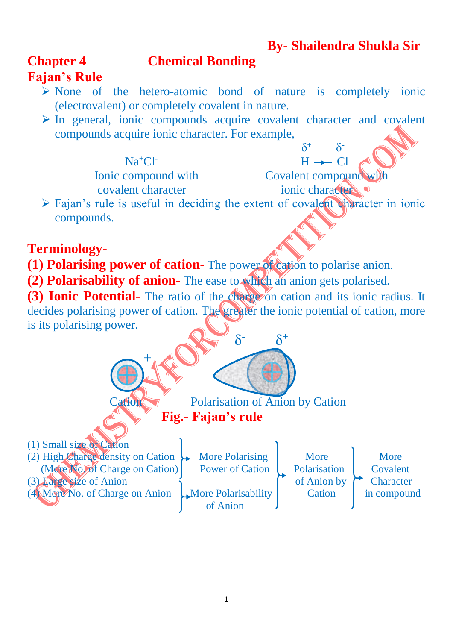## **By- Shailendra Shukla Sir**

### **Chapter 4 Chemical Bonding**

# **Fajan's Rule**

- $\triangleright$  None of the hetero-atomic bond of nature is completely ionic (electrovalent) or completely covalent in nature.
- $\triangleright$  In general, ionic compounds acquire covalent character and covalent compounds acquire ionic character. For example,

#### Na<sup>+</sup>Cl-

 $\delta$ 

Ionic compound with Covalent compound with covalent character ionic character

 $H \rightarrow Cl$ 

 $\delta$ 

 $\delta^+$ 

 $\triangleright$  Fajan's rule is useful in deciding the extent of covalent character in ionic compounds.

## **Terminology-**

- **(1) Polarising power of cation-** The power of cation to polarise anion.
- **(2) Polarisability of anion-** The ease to which an anion gets polarised.

**(3) Ionic Potential-** The ratio of the charge on cation and its ionic radius. It decides polarising power of cation. The greater the ionic potential of cation, more is its polarising power.

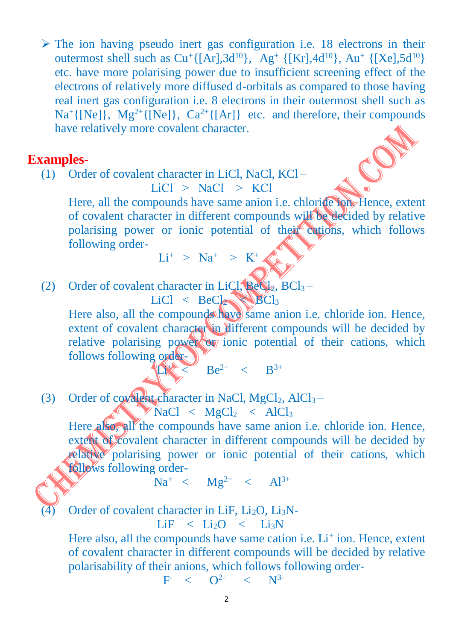$\triangleright$  The ion having pseudo inert gas configuration i.e. 18 electrons in their outermost shell such as  $Cu^+({[Ar]},3d^{10}),$   $Ag^+({[Kr]},4d^{10}),$   $Au^+({[Xe]},5d^{10})$ etc. have more polarising power due to insufficient screening effect of the electrons of relatively more diffused d-orbitals as compared to those having real inert gas configuration i.e. 8 electrons in their outermost shell such as  $Na^+{[Ne]}, Mg^{2+}{[Ne]}, Ca^{2+}{[Ar]}$  etc. and therefore, their compounds have relatively more covalent character.

#### **Examples-**

(1) Order of covalent character in LiCl, NaCl, KCl –  $LiCl > NaCl > KCl$ 

Here, all the compounds have same anion i.e. chloride ion. Hence, extent of covalent character in different compounds will be decided by relative polarising power or ionic potential of their cations, which follows following order-  $Li^+$  >  $Na^+$  >  $K^+$ 

(2) Order of covalent character in LiCl,  $B_1 \in \mathbb{C}_{12}$ , BCl<sub>3</sub> –

 $LiCl < BeCl<sub>2</sub>$   $BCl<sub>3</sub>$ Here also, all the compounds have same anion i.e. chloride ion. Hence, extent of covalent character in different compounds will be decided by relative polarising power or ionic potential of their cations, which follows following order-**Li** 

 $\leq$  Be<sup>2+</sup> < B<sup>3+</sup>

(3) Order of covalent character in NaCl,  $MgCl<sub>2</sub>$ , AlCl<sub>3</sub> –

 $\triangleright$  NaCl < MgCl<sub>2</sub> < AlCl<sub>3</sub>

Here also, all the compounds have same anion i.e. chloride ion. Hence, extent of covalent character in different compounds will be decided by relative polarising power or ionic potential of their cations, which follows following order-

 $Na^{+} < Mg^{2+} < Al^{3+}$ 

Order of covalent character in LiF,  $Li<sub>2</sub>O$ , Li<sub>3</sub>N-

$$
LiF \t < Li_2O \t < Li_3N
$$

Here also, all the compounds have same cation i.e. Li<sup>+</sup> ion. Hence, extent of covalent character in different compounds will be decided by relative polarisability of their anions, which follows following order-

**Figure 1999**  $<$   $O^2$   $<$   $N^3$